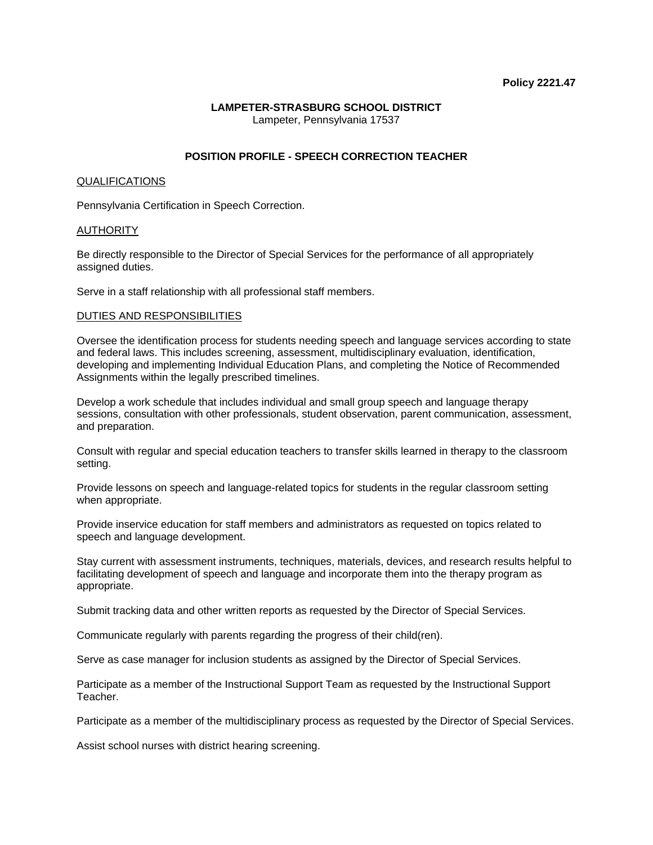## **LAMPETER-STRASBURG SCHOOL DISTRICT**  Lampeter, Pennsylvania 17537

# **POSITION PROFILE - SPEECH CORRECTION TEACHER**

## QUALIFICATIONS

Pennsylvania Certification in Speech Correction.

## **AUTHORITY**

Be directly responsible to the Director of Special Services for the performance of all appropriately assigned duties.

Serve in a staff relationship with all professional staff members.

## DUTIES AND RESPONSIBILITIES

Oversee the identification process for students needing speech and language services according to state and federal laws. This includes screening, assessment, multidisciplinary evaluation, identification, developing and implementing Individual Education Plans, and completing the Notice of Recommended Assignments within the legally prescribed timelines.

Develop a work schedule that includes individual and small group speech and language therapy sessions, consultation with other professionals, student observation, parent communication, assessment, and preparation.

Consult with regular and special education teachers to transfer skills learned in therapy to the classroom setting.

Provide lessons on speech and language-related topics for students in the regular classroom setting when appropriate.

Provide inservice education for staff members and administrators as requested on topics related to speech and language development.

Stay current with assessment instruments, techniques, materials, devices, and research results helpful to facilitating development of speech and language and incorporate them into the therapy program as appropriate.

Submit tracking data and other written reports as requested by the Director of Special Services.

Communicate regularly with parents regarding the progress of their child(ren).

Serve as case manager for inclusion students as assigned by the Director of Special Services.

Participate as a member of the Instructional Support Team as requested by the Instructional Support Teacher.

Participate as a member of the multidisciplinary process as requested by the Director of Special Services.

Assist school nurses with district hearing screening.